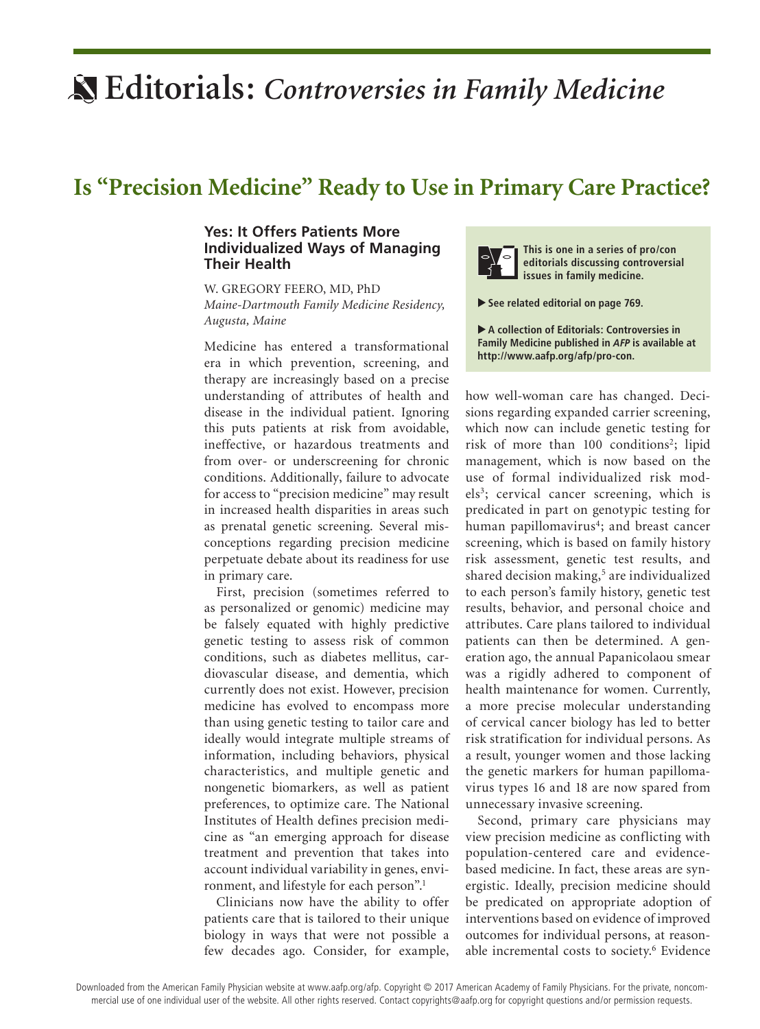## **Editorials:** *Controversies in Family Medicine*

## **Is "Precision Medicine" Ready to Use in Primary Care Practice?**

## **Yes: It Offers Patients More Individualized Ways of Managing Their Health**

W. GREGORY FEERO, MD, PhD *Maine-Dartmouth Family Medicine Residency, Augusta, Maine*

Medicine has entered a transformational era in which prevention, screening, and therapy are increasingly based on a precise understanding of attributes of health and disease in the individual patient. Ignoring this puts patients at risk from avoidable, ineffective, or hazardous treatments and from over- or underscreening for chronic conditions. Additionally, failure to advocate for access to "precision medicine" may result in increased health disparities in areas such as prenatal genetic screening. Several misconceptions regarding precision medicine perpetuate debate about its readiness for use in primary care.

First, precision (sometimes referred to as personalized or genomic) medicine may be falsely equated with highly predictive genetic testing to assess risk of common conditions, such as diabetes mellitus, cardiovascular disease, and dementia, which currently does not exist. However, precision medicine has evolved to encompass more than using genetic testing to tailor care and ideally would integrate multiple streams of information, including behaviors, physical characteristics, and multiple genetic and nongenetic biomarkers, as well as patient preferences, to optimize care. The National Institutes of Health defines precision medicine as "an emerging approach for disease treatment and prevention that takes into account individual variability in genes, environment, and lifestyle for each person".1

Clinicians now have the ability to offer patients care that is tailored to their unique biology in ways that were not possible a few decades ago. Consider, for example,



**This is one in a series of pro/con editorials discussing controversial issues in family medicine.**

▲ **See related editorial on page 769.**

▶ A collection of Editorials: Controversies in **Family Medicine published in** *AFP* **is available at http://www.aafp.org/afp/pro-con.**

how well-woman care has changed. Decisions regarding expanded carrier screening, which now can include genetic testing for risk of more than 100 conditions<sup>2</sup>; lipid management, which is now based on the use of formal individualized risk models<sup>3</sup>; cervical cancer screening, which is predicated in part on genotypic testing for human papillomavirus<sup>4</sup>; and breast cancer screening, which is based on family history risk assessment, genetic test results, and shared decision making,<sup>5</sup> are individualized to each person's family history, genetic test results, behavior, and personal choice and attributes. Care plans tailored to individual patients can then be determined. A generation ago, the annual Papanicolaou smear was a rigidly adhered to component of health maintenance for women. Currently, a more precise molecular understanding of cervical cancer biology has led to better risk stratification for individual persons. As a result, younger women and those lacking the genetic markers for human papillomavirus types 16 and 18 are now spared from unnecessary invasive screening.

Second, primary care physicians may view precision medicine as conflicting with population-centered care and evidencebased medicine. In fact, these areas are synergistic. Ideally, precision medicine should be predicated on appropriate adoption of interventions based on evidence of improved outcomes for individual persons, at reasonable incremental costs to society.<sup>6</sup> Evidence